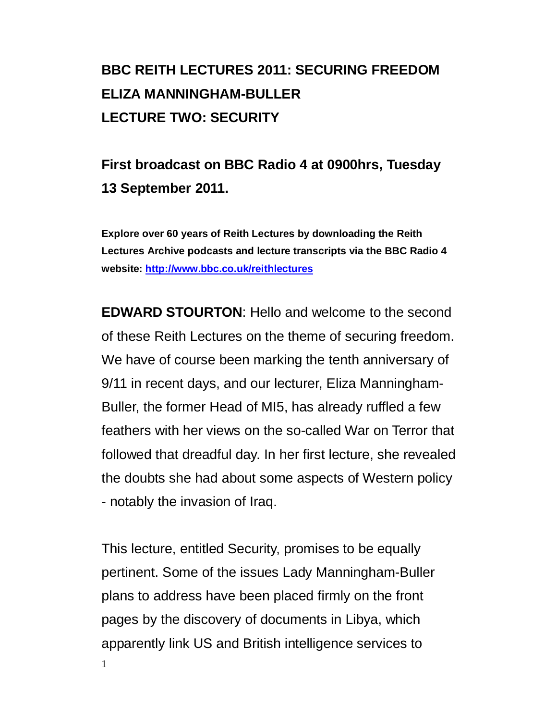# **BBC REITH LECTURES 2011: SECURING FREEDOM ELIZA MANNINGHAM-BULLER LECTURE TWO: SECURITY**

# **First broadcast on BBC Radio 4 at 0900hrs, Tuesday 13 September 2011.**

**Explore over 60 years of Reith Lectures by downloading the Reith Lectures Archive podcasts and lecture transcripts via the BBC Radio 4 website:<http://www.bbc.co.uk/reithlectures>**

**EDWARD STOURTON**: Hello and welcome to the second of these Reith Lectures on the theme of securing freedom. We have of course been marking the tenth anniversary of 9/11 in recent days, and our lecturer, Eliza Manningham-Buller, the former Head of MI5, has already ruffled a few feathers with her views on the so-called War on Terror that followed that dreadful day. In her first lecture, she revealed the doubts she had about some aspects of Western policy - notably the invasion of Iraq.

1 This lecture, entitled Security, promises to be equally pertinent. Some of the issues Lady Manningham-Buller plans to address have been placed firmly on the front pages by the discovery of documents in Libya, which apparently link US and British intelligence services to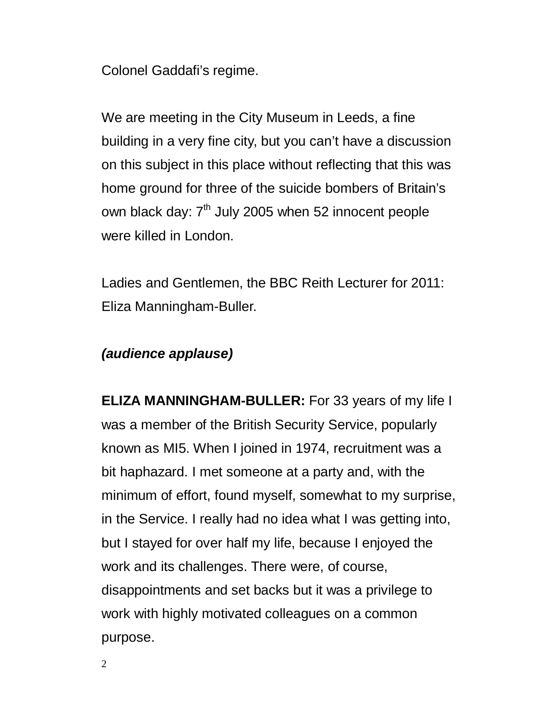Colonel Gaddafi's regime.

We are meeting in the City Museum in Leeds, a fine building in a very fine city, but you can't have a discussion on this subject in this place without reflecting that this was home ground for three of the suicide bombers of Britain's own black day:  $7<sup>th</sup>$  July 2005 when 52 innocent people were killed in London.

Ladies and Gentlemen, the BBC Reith Lecturer for 2011: Eliza Manningham-Buller.

## *(audience applause)*

**ELIZA MANNINGHAM-BULLER:** For 33 years of my life I was a member of the British Security Service, popularly known as MI5. When I joined in 1974, recruitment was a bit haphazard. I met someone at a party and, with the minimum of effort, found myself, somewhat to my surprise, in the Service. I really had no idea what I was getting into, but I stayed for over half my life, because I enjoyed the work and its challenges. There were, of course, disappointments and set backs but it was a privilege to work with highly motivated colleagues on a common purpose.

2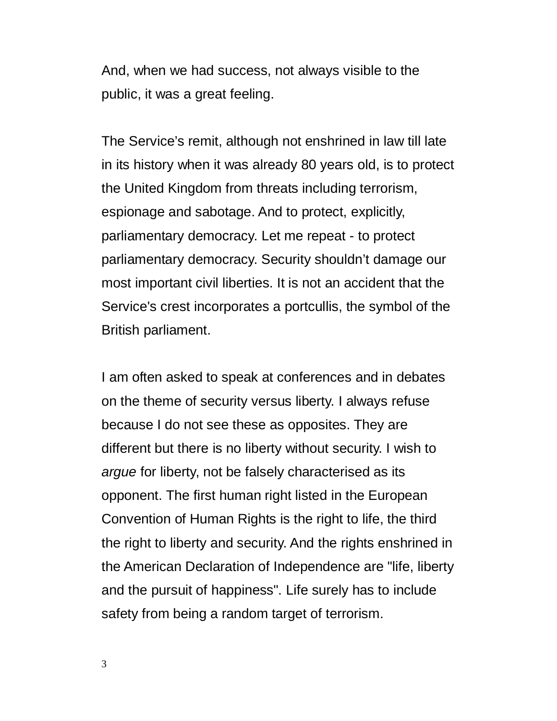And, when we had success, not always visible to the public, it was a great feeling.

The Service's remit, although not enshrined in law till late in its history when it was already 80 years old, is to protect the United Kingdom from threats including terrorism, espionage and sabotage. And to protect, explicitly, parliamentary democracy. Let me repeat - to protect parliamentary democracy. Security shouldn't damage our most important civil liberties. It is not an accident that the Service's crest incorporates a portcullis, the symbol of the British parliament.

I am often asked to speak at conferences and in debates on the theme of security versus liberty. I always refuse because I do not see these as opposites. They are different but there is no liberty without security. I wish to *argue* for liberty, not be falsely characterised as its opponent. The first human right listed in the European Convention of Human Rights is the right to life, the third the right to liberty and security. And the rights enshrined in the American Declaration of Independence are "life, liberty and the pursuit of happiness". Life surely has to include safety from being a random target of terrorism.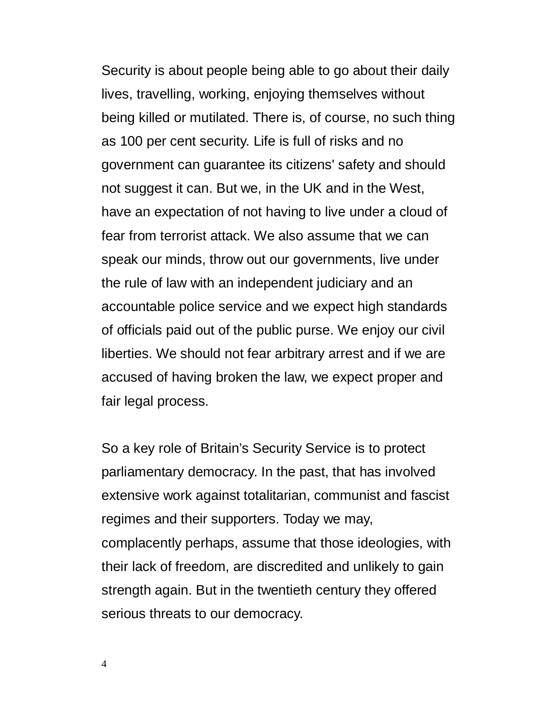Security is about people being able to go about their daily lives, travelling, working, enjoying themselves without being killed or mutilated. There is, of course, no such thing as 100 per cent security. Life is full of risks and no government can guarantee its citizens' safety and should not suggest it can. But we, in the UK and in the West, have an expectation of not having to live under a cloud of fear from terrorist attack. We also assume that we can speak our minds, throw out our governments, live under the rule of law with an independent judiciary and an accountable police service and we expect high standards of officials paid out of the public purse. We enjoy our civil liberties. We should not fear arbitrary arrest and if we are accused of having broken the law, we expect proper and fair legal process.

So a key role of Britain's Security Service is to protect parliamentary democracy. In the past, that has involved extensive work against totalitarian, communist and fascist regimes and their supporters. Today we may, complacently perhaps, assume that those ideologies, with their lack of freedom, are discredited and unlikely to gain strength again. But in the twentieth century they offered serious threats to our democracy.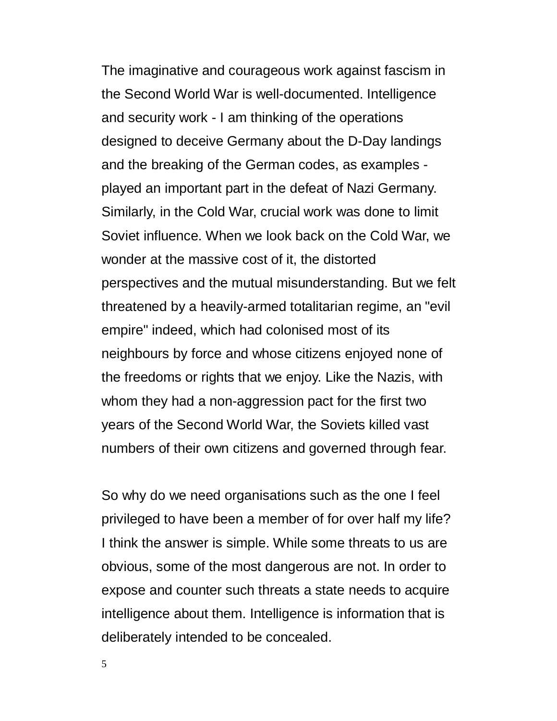The imaginative and courageous work against fascism in the Second World War is well-documented. Intelligence and security work - I am thinking of the operations designed to deceive Germany about the D-Day landings and the breaking of the German codes, as examples played an important part in the defeat of Nazi Germany. Similarly, in the Cold War, crucial work was done to limit Soviet influence. When we look back on the Cold War, we wonder at the massive cost of it, the distorted perspectives and the mutual misunderstanding. But we felt threatened by a heavily-armed totalitarian regime, an "evil empire" indeed, which had colonised most of its neighbours by force and whose citizens enjoyed none of the freedoms or rights that we enjoy. Like the Nazis, with whom they had a non-aggression pact for the first two years of the Second World War, the Soviets killed vast numbers of their own citizens and governed through fear.

So why do we need organisations such as the one I feel privileged to have been a member of for over half my life? I think the answer is simple. While some threats to us are obvious, some of the most dangerous are not. In order to expose and counter such threats a state needs to acquire intelligence about them. Intelligence is information that is deliberately intended to be concealed.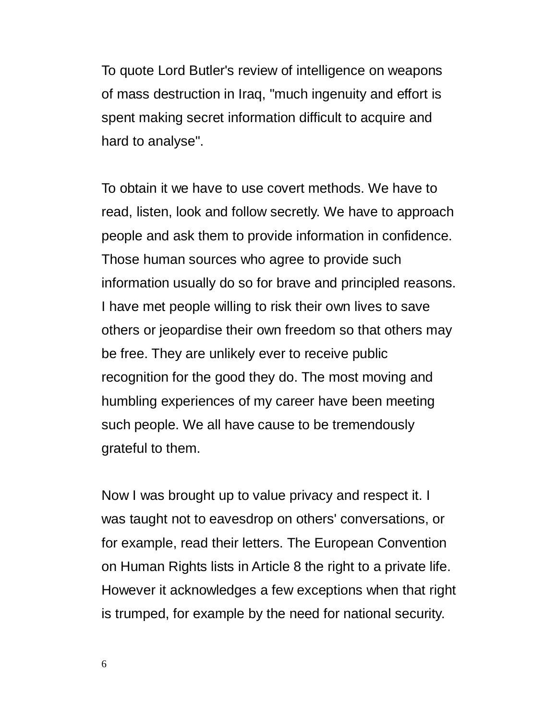To quote Lord Butler's review of intelligence on weapons of mass destruction in Iraq, "much ingenuity and effort is spent making secret information difficult to acquire and hard to analyse".

To obtain it we have to use covert methods. We have to read, listen, look and follow secretly. We have to approach people and ask them to provide information in confidence. Those human sources who agree to provide such information usually do so for brave and principled reasons. I have met people willing to risk their own lives to save others or jeopardise their own freedom so that others may be free. They are unlikely ever to receive public recognition for the good they do. The most moving and humbling experiences of my career have been meeting such people. We all have cause to be tremendously grateful to them.

Now I was brought up to value privacy and respect it. I was taught not to eavesdrop on others' conversations, or for example, read their letters. The European Convention on Human Rights lists in Article 8 the right to a private life. However it acknowledges a few exceptions when that right is trumped, for example by the need for national security.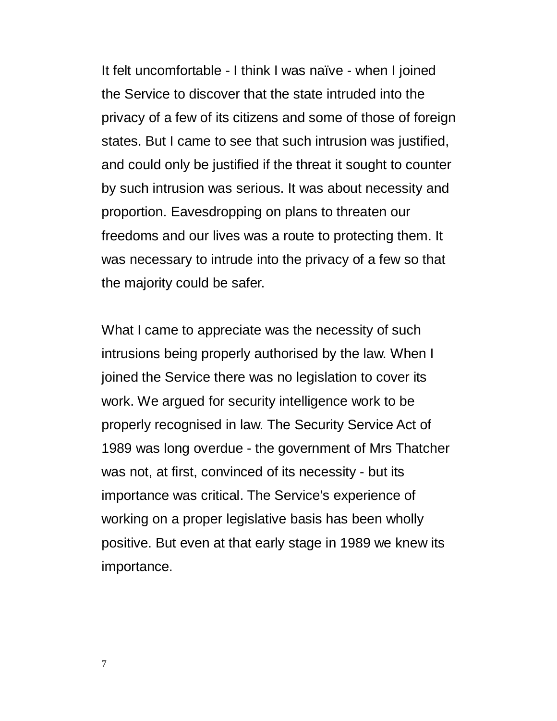It felt uncomfortable - I think I was naïve - when I joined the Service to discover that the state intruded into the privacy of a few of its citizens and some of those of foreign states. But I came to see that such intrusion was justified, and could only be justified if the threat it sought to counter by such intrusion was serious. It was about necessity and proportion. Eavesdropping on plans to threaten our freedoms and our lives was a route to protecting them. It was necessary to intrude into the privacy of a few so that the majority could be safer.

What I came to appreciate was the necessity of such intrusions being properly authorised by the law. When I joined the Service there was no legislation to cover its work. We argued for security intelligence work to be properly recognised in law. The Security Service Act of 1989 was long overdue - the government of Mrs Thatcher was not, at first, convinced of its necessity - but its importance was critical. The Service's experience of working on a proper legislative basis has been wholly positive. But even at that early stage in 1989 we knew its importance.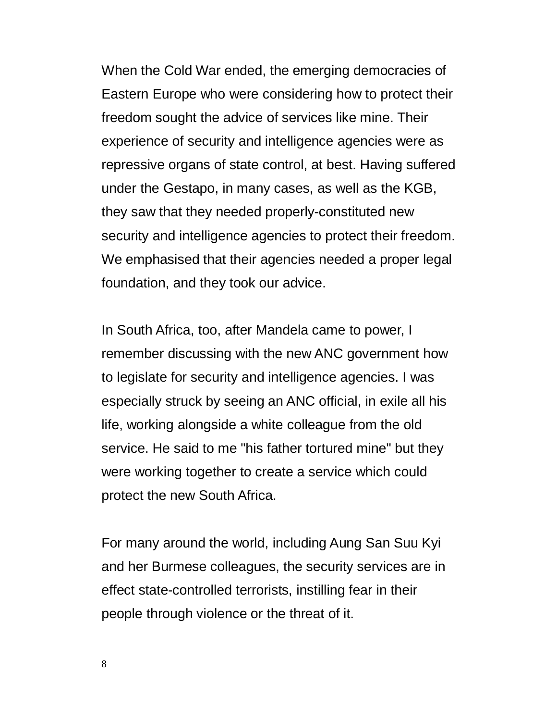When the Cold War ended, the emerging democracies of Eastern Europe who were considering how to protect their freedom sought the advice of services like mine. Their experience of security and intelligence agencies were as repressive organs of state control, at best. Having suffered under the Gestapo, in many cases, as well as the KGB, they saw that they needed properly-constituted new security and intelligence agencies to protect their freedom. We emphasised that their agencies needed a proper legal foundation, and they took our advice.

In South Africa, too, after Mandela came to power, I remember discussing with the new ANC government how to legislate for security and intelligence agencies. I was especially struck by seeing an ANC official, in exile all his life, working alongside a white colleague from the old service. He said to me "his father tortured mine" but they were working together to create a service which could protect the new South Africa.

For many around the world, including Aung San Suu Kyi and her Burmese colleagues, the security services are in effect state-controlled terrorists, instilling fear in their people through violence or the threat of it.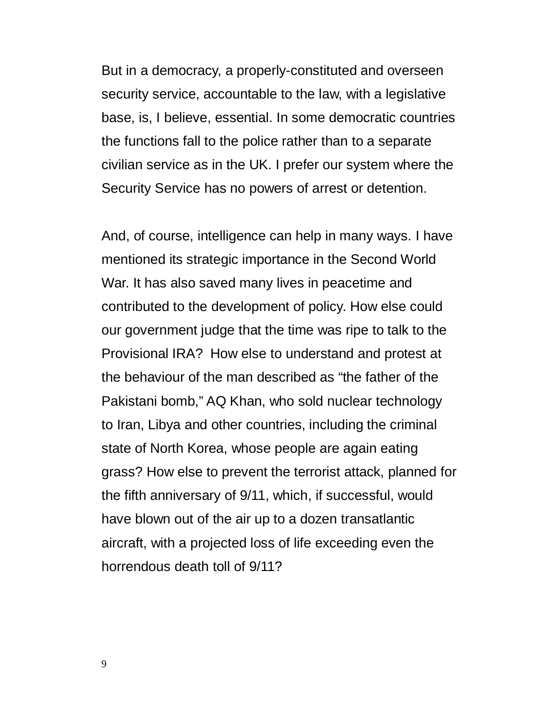But in a democracy, a properly-constituted and overseen security service, accountable to the law, with a legislative base, is, I believe, essential. In some democratic countries the functions fall to the police rather than to a separate civilian service as in the UK. I prefer our system where the Security Service has no powers of arrest or detention.

And, of course, intelligence can help in many ways. I have mentioned its strategic importance in the Second World War. It has also saved many lives in peacetime and contributed to the development of policy. How else could our government judge that the time was ripe to talk to the Provisional IRA? How else to understand and protest at the behaviour of the man described as "the father of the Pakistani bomb," AQ Khan, who sold nuclear technology to Iran, Libya and other countries, including the criminal state of North Korea, whose people are again eating grass? How else to prevent the terrorist attack, planned for the fifth anniversary of 9/11, which, if successful, would have blown out of the air up to a dozen transatlantic aircraft, with a projected loss of life exceeding even the horrendous death toll of 9/11?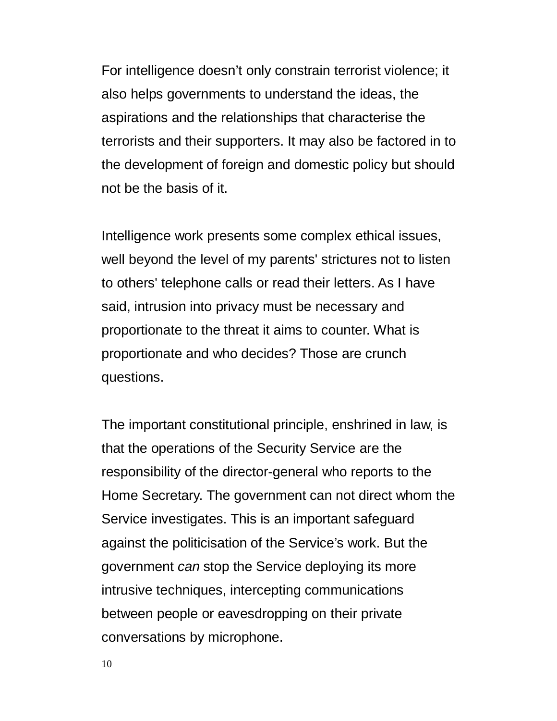For intelligence doesn't only constrain terrorist violence; it also helps governments to understand the ideas, the aspirations and the relationships that characterise the terrorists and their supporters. It may also be factored in to the development of foreign and domestic policy but should not be the basis of it.

Intelligence work presents some complex ethical issues, well beyond the level of my parents' strictures not to listen to others' telephone calls or read their letters. As I have said, intrusion into privacy must be necessary and proportionate to the threat it aims to counter. What is proportionate and who decides? Those are crunch questions.

The important constitutional principle, enshrined in law, is that the operations of the Security Service are the responsibility of the director-general who reports to the Home Secretary. The government can not direct whom the Service investigates. This is an important safeguard against the politicisation of the Service's work. But the government *can* stop the Service deploying its more intrusive techniques, intercepting communications between people or eavesdropping on their private conversations by microphone.

10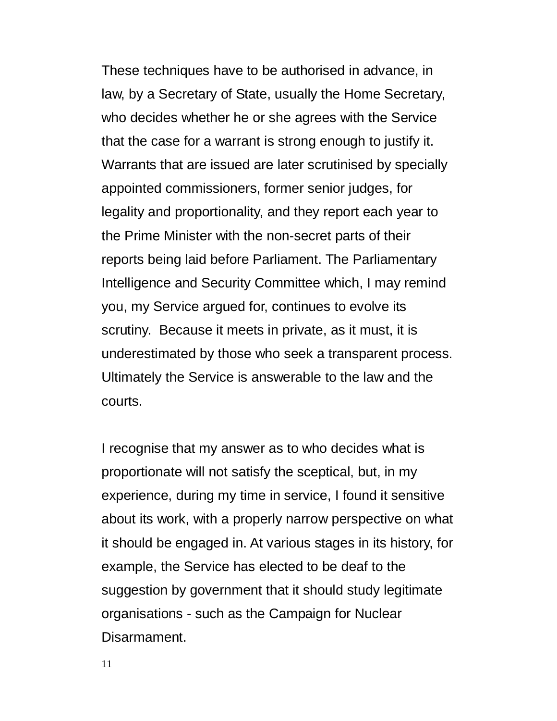These techniques have to be authorised in advance, in law, by a Secretary of State, usually the Home Secretary, who decides whether he or she agrees with the Service that the case for a warrant is strong enough to justify it. Warrants that are issued are later scrutinised by specially appointed commissioners, former senior judges, for legality and proportionality, and they report each year to the Prime Minister with the non-secret parts of their reports being laid before Parliament. The Parliamentary Intelligence and Security Committee which, I may remind you, my Service argued for, continues to evolve its scrutiny. Because it meets in private, as it must, it is underestimated by those who seek a transparent process. Ultimately the Service is answerable to the law and the courts.

I recognise that my answer as to who decides what is proportionate will not satisfy the sceptical, but, in my experience, during my time in service, I found it sensitive about its work, with a properly narrow perspective on what it should be engaged in. At various stages in its history, for example, the Service has elected to be deaf to the suggestion by government that it should study legitimate organisations - such as the Campaign for Nuclear Disarmament.

11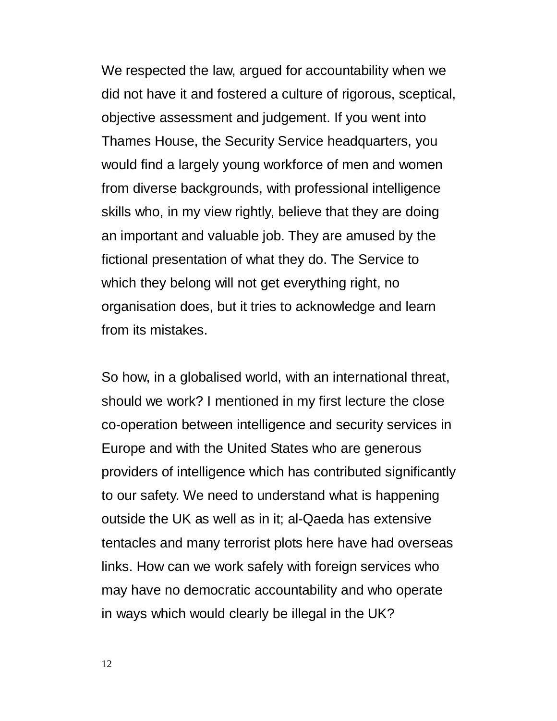We respected the law, argued for accountability when we did not have it and fostered a culture of rigorous, sceptical, objective assessment and judgement. If you went into Thames House, the Security Service headquarters, you would find a largely young workforce of men and women from diverse backgrounds, with professional intelligence skills who, in my view rightly, believe that they are doing an important and valuable job. They are amused by the fictional presentation of what they do. The Service to which they belong will not get everything right, no organisation does, but it tries to acknowledge and learn from its mistakes.

So how, in a globalised world, with an international threat, should we work? I mentioned in my first lecture the close co-operation between intelligence and security services in Europe and with the United States who are generous providers of intelligence which has contributed significantly to our safety. We need to understand what is happening outside the UK as well as in it; al-Qaeda has extensive tentacles and many terrorist plots here have had overseas links. How can we work safely with foreign services who may have no democratic accountability and who operate in ways which would clearly be illegal in the UK?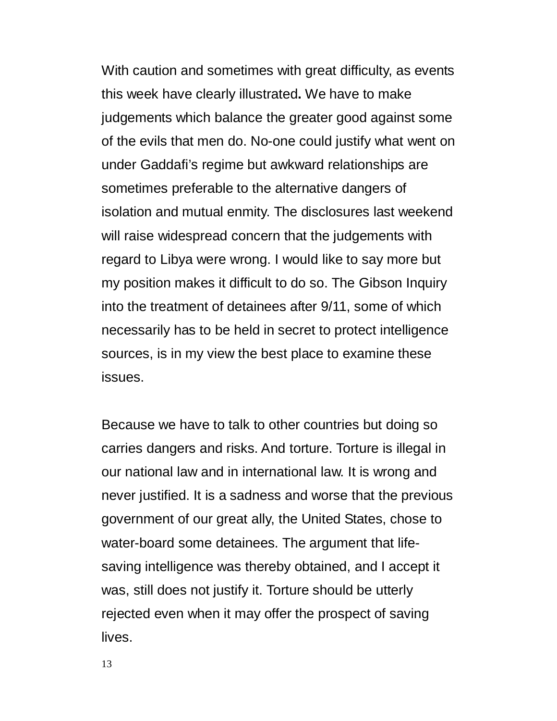With caution and sometimes with great difficulty, as events this week have clearly illustrated**.** We have to make judgements which balance the greater good against some of the evils that men do. No-one could justify what went on under Gaddafi's regime but awkward relationships are sometimes preferable to the alternative dangers of isolation and mutual enmity. The disclosures last weekend will raise widespread concern that the judgements with regard to Libya were wrong. I would like to say more but my position makes it difficult to do so. The Gibson Inquiry into the treatment of detainees after 9/11, some of which necessarily has to be held in secret to protect intelligence sources, is in my view the best place to examine these issues.

Because we have to talk to other countries but doing so carries dangers and risks. And torture. Torture is illegal in our national law and in international law. It is wrong and never justified. It is a sadness and worse that the previous government of our great ally, the United States, chose to water-board some detainees. The argument that lifesaving intelligence was thereby obtained, and I accept it was, still does not justify it. Torture should be utterly rejected even when it may offer the prospect of saving lives.

13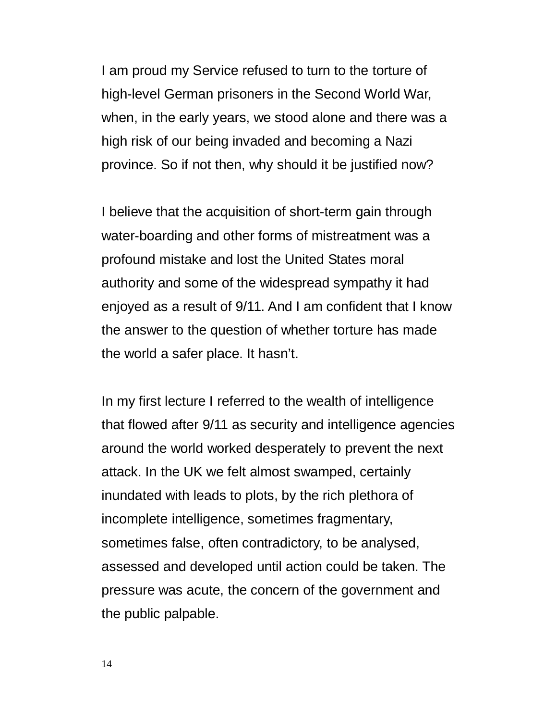I am proud my Service refused to turn to the torture of high-level German prisoners in the Second World War, when, in the early years, we stood alone and there was a high risk of our being invaded and becoming a Nazi province. So if not then, why should it be justified now?

I believe that the acquisition of short-term gain through water-boarding and other forms of mistreatment was a profound mistake and lost the United States moral authority and some of the widespread sympathy it had enjoyed as a result of 9/11. And I am confident that I know the answer to the question of whether torture has made the world a safer place. It hasn't.

In my first lecture I referred to the wealth of intelligence that flowed after 9/11 as security and intelligence agencies around the world worked desperately to prevent the next attack. In the UK we felt almost swamped, certainly inundated with leads to plots, by the rich plethora of incomplete intelligence, sometimes fragmentary, sometimes false, often contradictory, to be analysed, assessed and developed until action could be taken. The pressure was acute, the concern of the government and the public palpable.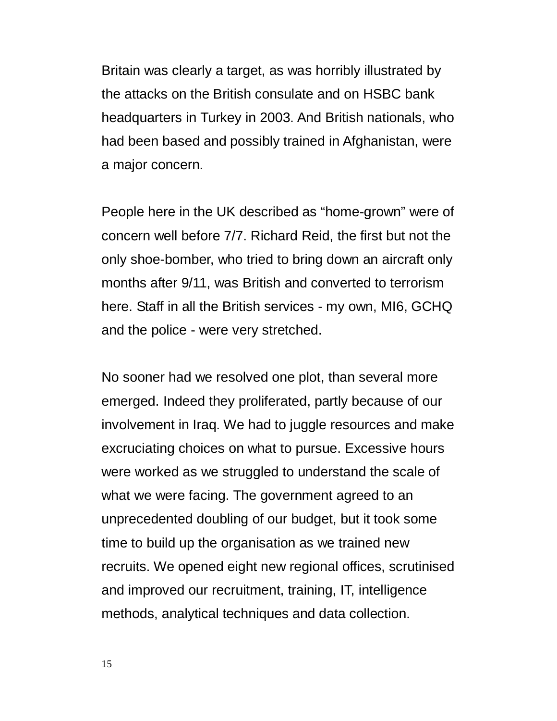Britain was clearly a target, as was horribly illustrated by the attacks on the British consulate and on HSBC bank headquarters in Turkey in 2003. And British nationals, who had been based and possibly trained in Afghanistan, were a major concern.

People here in the UK described as "home-grown" were of concern well before 7/7. Richard Reid, the first but not the only shoe-bomber, who tried to bring down an aircraft only months after 9/11, was British and converted to terrorism here. Staff in all the British services - my own, MI6, GCHQ and the police - were very stretched.

No sooner had we resolved one plot, than several more emerged. Indeed they proliferated, partly because of our involvement in Iraq. We had to juggle resources and make excruciating choices on what to pursue. Excessive hours were worked as we struggled to understand the scale of what we were facing. The government agreed to an unprecedented doubling of our budget, but it took some time to build up the organisation as we trained new recruits. We opened eight new regional offices, scrutinised and improved our recruitment, training, IT, intelligence methods, analytical techniques and data collection.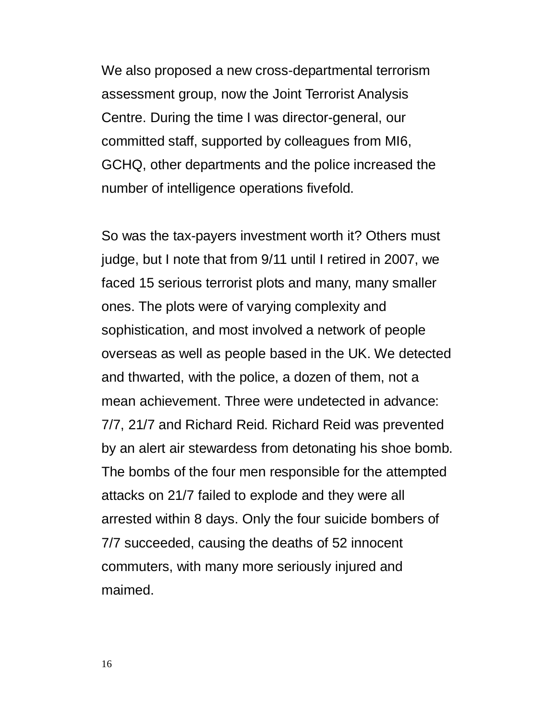We also proposed a new cross-departmental terrorism assessment group, now the Joint Terrorist Analysis Centre. During the time I was director-general, our committed staff, supported by colleagues from MI6, GCHQ, other departments and the police increased the number of intelligence operations fivefold.

So was the tax-payers investment worth it? Others must judge, but I note that from 9/11 until I retired in 2007, we faced 15 serious terrorist plots and many, many smaller ones. The plots were of varying complexity and sophistication, and most involved a network of people overseas as well as people based in the UK. We detected and thwarted, with the police, a dozen of them, not a mean achievement. Three were undetected in advance: 7/7, 21/7 and Richard Reid. Richard Reid was prevented by an alert air stewardess from detonating his shoe bomb. The bombs of the four men responsible for the attempted attacks on 21/7 failed to explode and they were all arrested within 8 days. Only the four suicide bombers of 7/7 succeeded, causing the deaths of 52 innocent commuters, with many more seriously injured and maimed.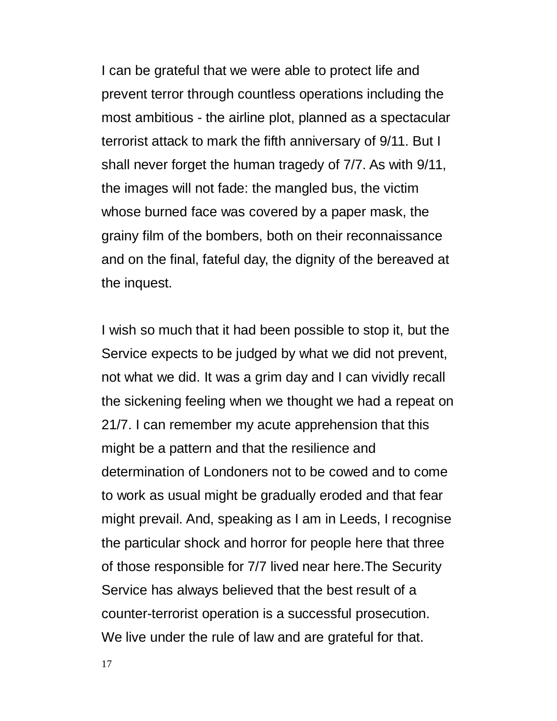I can be grateful that we were able to protect life and prevent terror through countless operations including the most ambitious - the airline plot, planned as a spectacular terrorist attack to mark the fifth anniversary of 9/11. But I shall never forget the human tragedy of 7/7. As with 9/11, the images will not fade: the mangled bus, the victim whose burned face was covered by a paper mask, the grainy film of the bombers, both on their reconnaissance and on the final, fateful day, the dignity of the bereaved at the inquest.

I wish so much that it had been possible to stop it, but the Service expects to be judged by what we did not prevent, not what we did. It was a grim day and I can vividly recall the sickening feeling when we thought we had a repeat on 21/7. I can remember my acute apprehension that this might be a pattern and that the resilience and determination of Londoners not to be cowed and to come to work as usual might be gradually eroded and that fear might prevail. And, speaking as I am in Leeds, I recognise the particular shock and horror for people here that three of those responsible for 7/7 lived near here.The Security Service has always believed that the best result of a counter-terrorist operation is a successful prosecution. We live under the rule of law and are grateful for that.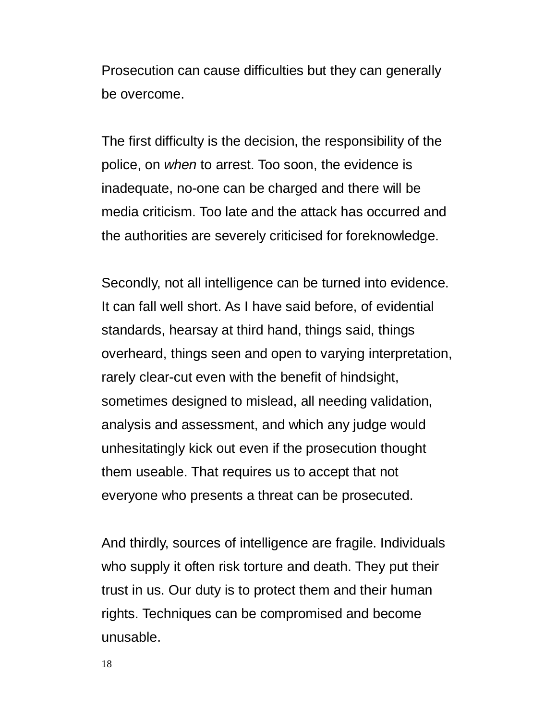Prosecution can cause difficulties but they can generally be overcome.

The first difficulty is the decision, the responsibility of the police, on *when* to arrest. Too soon, the evidence is inadequate, no-one can be charged and there will be media criticism. Too late and the attack has occurred and the authorities are severely criticised for foreknowledge.

Secondly, not all intelligence can be turned into evidence. It can fall well short. As I have said before, of evidential standards, hearsay at third hand, things said, things overheard, things seen and open to varying interpretation, rarely clear-cut even with the benefit of hindsight, sometimes designed to mislead, all needing validation, analysis and assessment, and which any judge would unhesitatingly kick out even if the prosecution thought them useable. That requires us to accept that not everyone who presents a threat can be prosecuted.

And thirdly, sources of intelligence are fragile. Individuals who supply it often risk torture and death. They put their trust in us. Our duty is to protect them and their human rights. Techniques can be compromised and become unusable.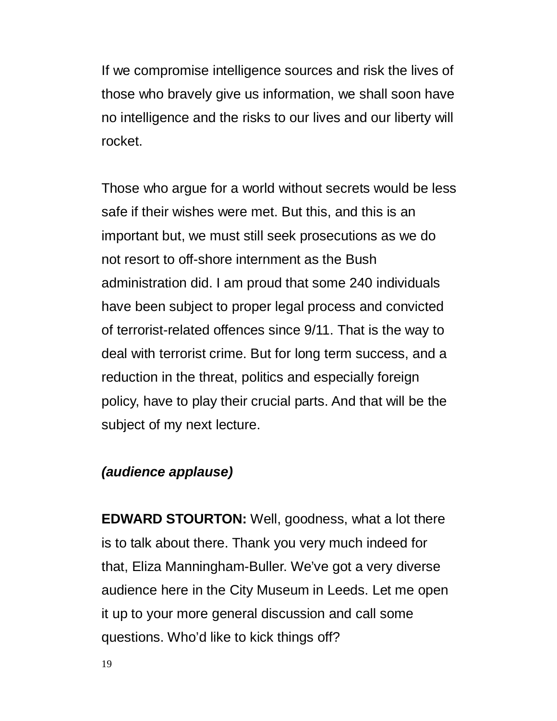If we compromise intelligence sources and risk the lives of those who bravely give us information, we shall soon have no intelligence and the risks to our lives and our liberty will rocket.

Those who argue for a world without secrets would be less safe if their wishes were met. But this, and this is an important but, we must still seek prosecutions as we do not resort to off-shore internment as the Bush administration did. I am proud that some 240 individuals have been subject to proper legal process and convicted of terrorist-related offences since 9/11. That is the way to deal with terrorist crime. But for long term success, and a reduction in the threat, politics and especially foreign policy, have to play their crucial parts. And that will be the subject of my next lecture.

### *(audience applause)*

**EDWARD STOURTON:** Well, goodness, what a lot there is to talk about there. Thank you very much indeed for that, Eliza Manningham-Buller. We've got a very diverse audience here in the City Museum in Leeds. Let me open it up to your more general discussion and call some questions. Who'd like to kick things off?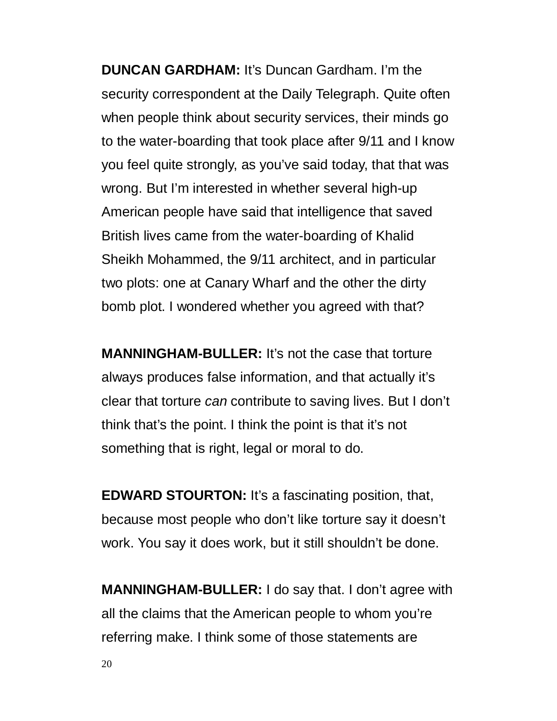**DUNCAN GARDHAM:** It's Duncan Gardham. I'm the security correspondent at the Daily Telegraph. Quite often when people think about security services, their minds go to the water-boarding that took place after 9/11 and I know you feel quite strongly, as you've said today, that that was wrong. But I'm interested in whether several high-up American people have said that intelligence that saved British lives came from the water-boarding of Khalid Sheikh Mohammed, the 9/11 architect, and in particular two plots: one at Canary Wharf and the other the dirty bomb plot. I wondered whether you agreed with that?

**MANNINGHAM-BULLER:** It's not the case that torture always produces false information, and that actually it's clear that torture *can* contribute to saving lives. But I don't think that's the point. I think the point is that it's not something that is right, legal or moral to do.

**EDWARD STOURTON:** It's a fascinating position, that, because most people who don't like torture say it doesn't work. You say it does work, but it still shouldn't be done.

**MANNINGHAM-BULLER:** I do say that. I don't agree with all the claims that the American people to whom you're referring make. I think some of those statements are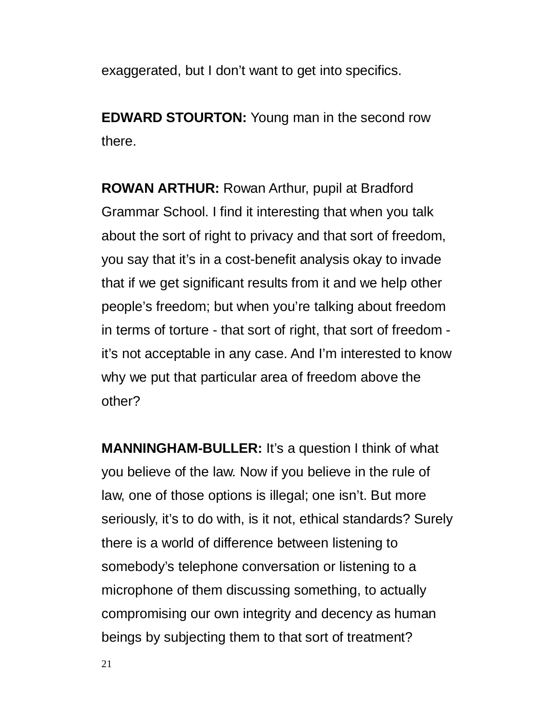exaggerated, but I don't want to get into specifics.

**EDWARD STOURTON:** Young man in the second row there.

**ROWAN ARTHUR:** Rowan Arthur, pupil at Bradford Grammar School. I find it interesting that when you talk about the sort of right to privacy and that sort of freedom, you say that it's in a cost-benefit analysis okay to invade that if we get significant results from it and we help other people's freedom; but when you're talking about freedom in terms of torture - that sort of right, that sort of freedom it's not acceptable in any case. And I'm interested to know why we put that particular area of freedom above the other?

**MANNINGHAM-BULLER:** It's a question I think of what you believe of the law. Now if you believe in the rule of law, one of those options is illegal; one isn't. But more seriously, it's to do with, is it not, ethical standards? Surely there is a world of difference between listening to somebody's telephone conversation or listening to a microphone of them discussing something, to actually compromising our own integrity and decency as human beings by subjecting them to that sort of treatment?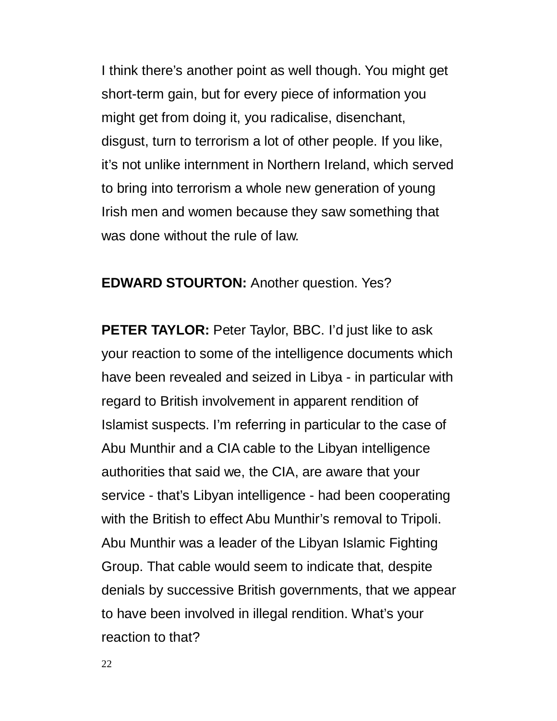I think there's another point as well though. You might get short-term gain, but for every piece of information you might get from doing it, you radicalise, disenchant, disgust, turn to terrorism a lot of other people. If you like, it's not unlike internment in Northern Ireland, which served to bring into terrorism a whole new generation of young Irish men and women because they saw something that was done without the rule of law.

#### **EDWARD STOURTON:** Another question. Yes?

**PETER TAYLOR:** Peter Taylor, BBC. I'd just like to ask your reaction to some of the intelligence documents which have been revealed and seized in Libya - in particular with regard to British involvement in apparent rendition of Islamist suspects. I'm referring in particular to the case of Abu Munthir and a CIA cable to the Libyan intelligence authorities that said we, the CIA, are aware that your service - that's Libyan intelligence - had been cooperating with the British to effect Abu Munthir's removal to Tripoli. Abu Munthir was a leader of the Libyan Islamic Fighting Group. That cable would seem to indicate that, despite denials by successive British governments, that we appear to have been involved in illegal rendition. What's your reaction to that?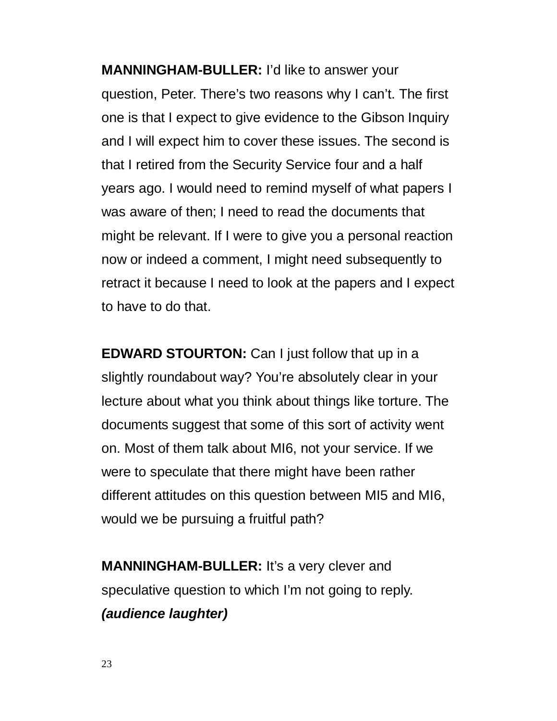**MANNINGHAM-BULLER:** I'd like to answer your question, Peter. There's two reasons why I can't. The first one is that I expect to give evidence to the Gibson Inquiry and I will expect him to cover these issues. The second is that I retired from the Security Service four and a half years ago. I would need to remind myself of what papers I was aware of then; I need to read the documents that might be relevant. If I were to give you a personal reaction now or indeed a comment, I might need subsequently to retract it because I need to look at the papers and I expect to have to do that.

**EDWARD STOURTON:** Can I just follow that up in a slightly roundabout way? You're absolutely clear in your lecture about what you think about things like torture. The documents suggest that some of this sort of activity went on. Most of them talk about MI6, not your service. If we were to speculate that there might have been rather different attitudes on this question between MI5 and MI6, would we be pursuing a fruitful path?

**MANNINGHAM-BULLER:** It's a very clever and speculative question to which I'm not going to reply. *(audience laughter)*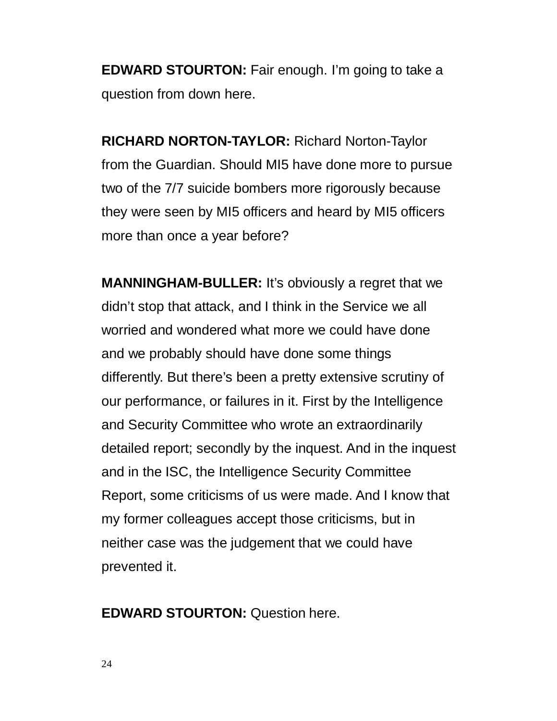**EDWARD STOURTON:** Fair enough. I'm going to take a question from down here.

**RICHARD NORTON-TAYLOR:** Richard Norton-Taylor from the Guardian. Should MI5 have done more to pursue two of the 7/7 suicide bombers more rigorously because they were seen by MI5 officers and heard by MI5 officers more than once a year before?

**MANNINGHAM-BULLER:** It's obviously a regret that we didn't stop that attack, and I think in the Service we all worried and wondered what more we could have done and we probably should have done some things differently. But there's been a pretty extensive scrutiny of our performance, or failures in it. First by the Intelligence and Security Committee who wrote an extraordinarily detailed report; secondly by the inquest. And in the inquest and in the ISC, the Intelligence Security Committee Report, some criticisms of us were made. And I know that my former colleagues accept those criticisms, but in neither case was the judgement that we could have prevented it.

**EDWARD STOURTON:** Question here.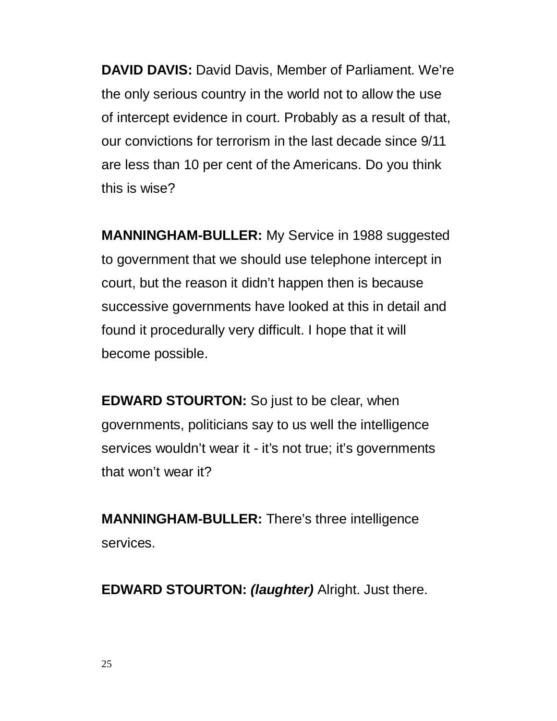**DAVID DAVIS:** David Davis, Member of Parliament. We're the only serious country in the world not to allow the use of intercept evidence in court. Probably as a result of that, our convictions for terrorism in the last decade since 9/11 are less than 10 per cent of the Americans. Do you think this is wise?

**MANNINGHAM-BULLER:** My Service in 1988 suggested to government that we should use telephone intercept in court, but the reason it didn't happen then is because successive governments have looked at this in detail and found it procedurally very difficult. I hope that it will become possible.

**EDWARD STOURTON:** So just to be clear, when governments, politicians say to us well the intelligence services wouldn't wear it - it's not true; it's governments that won't wear it?

**MANNINGHAM-BULLER:** There's three intelligence services.

**EDWARD STOURTON:** *(laughter)* Alright. Just there.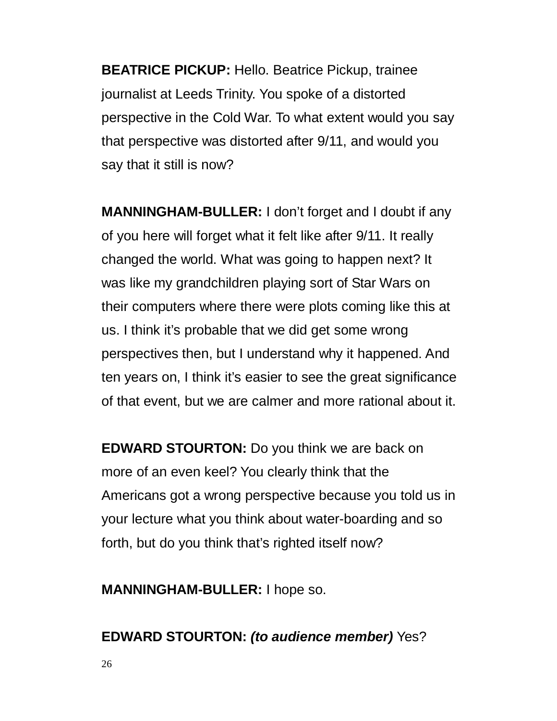**BEATRICE PICKUP:** Hello. Beatrice Pickup, trainee journalist at Leeds Trinity. You spoke of a distorted perspective in the Cold War. To what extent would you say that perspective was distorted after 9/11, and would you say that it still is now?

**MANNINGHAM-BULLER:** I don't forget and I doubt if any of you here will forget what it felt like after 9/11. It really changed the world. What was going to happen next? It was like my grandchildren playing sort of Star Wars on their computers where there were plots coming like this at us. I think it's probable that we did get some wrong perspectives then, but I understand why it happened. And ten years on, I think it's easier to see the great significance of that event, but we are calmer and more rational about it.

**EDWARD STOURTON:** Do you think we are back on more of an even keel? You clearly think that the Americans got a wrong perspective because you told us in your lecture what you think about water-boarding and so forth, but do you think that's righted itself now?

**MANNINGHAM-BULLER:** I hope so.

## **EDWARD STOURTON:** *(to audience member)* Yes?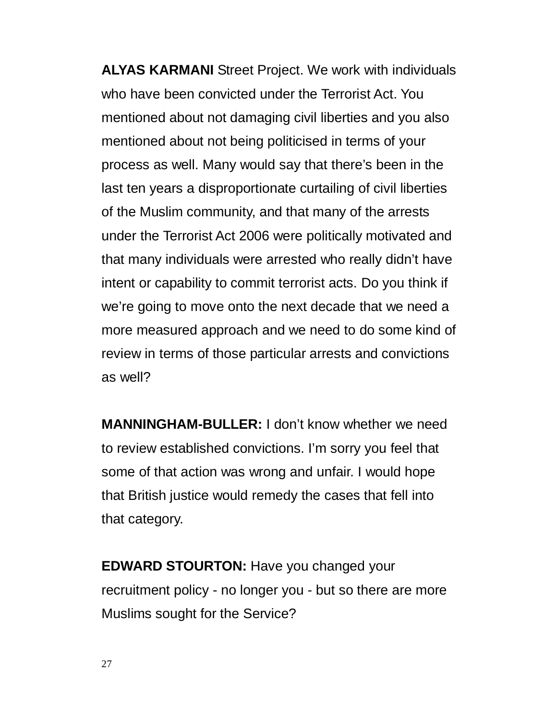**ALYAS KARMANI** Street Project. We work with individuals who have been convicted under the Terrorist Act. You mentioned about not damaging civil liberties and you also mentioned about not being politicised in terms of your process as well. Many would say that there's been in the last ten years a disproportionate curtailing of civil liberties of the Muslim community, and that many of the arrests under the Terrorist Act 2006 were politically motivated and that many individuals were arrested who really didn't have intent or capability to commit terrorist acts. Do you think if we're going to move onto the next decade that we need a more measured approach and we need to do some kind of review in terms of those particular arrests and convictions as well?

**MANNINGHAM-BULLER:** I don't know whether we need to review established convictions. I'm sorry you feel that some of that action was wrong and unfair. I would hope that British justice would remedy the cases that fell into that category.

**EDWARD STOURTON:** Have you changed your recruitment policy - no longer you - but so there are more Muslims sought for the Service?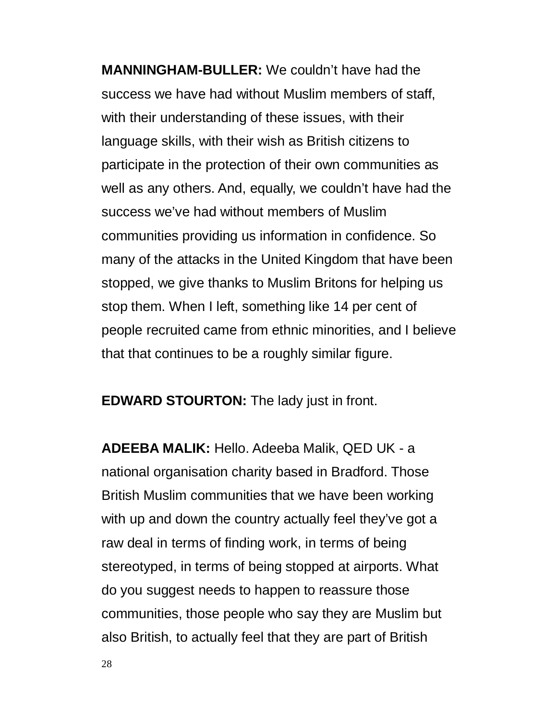**MANNINGHAM-BULLER:** We couldn't have had the success we have had without Muslim members of staff, with their understanding of these issues, with their language skills, with their wish as British citizens to participate in the protection of their own communities as well as any others. And, equally, we couldn't have had the success we've had without members of Muslim communities providing us information in confidence. So many of the attacks in the United Kingdom that have been stopped, we give thanks to Muslim Britons for helping us stop them. When I left, something like 14 per cent of people recruited came from ethnic minorities, and I believe that that continues to be a roughly similar figure.

**EDWARD STOURTON:** The lady just in front.

**ADEEBA MALIK:** Hello. Adeeba Malik, QED UK - a national organisation charity based in Bradford. Those British Muslim communities that we have been working with up and down the country actually feel they've got a raw deal in terms of finding work, in terms of being stereotyped, in terms of being stopped at airports. What do you suggest needs to happen to reassure those communities, those people who say they are Muslim but also British, to actually feel that they are part of British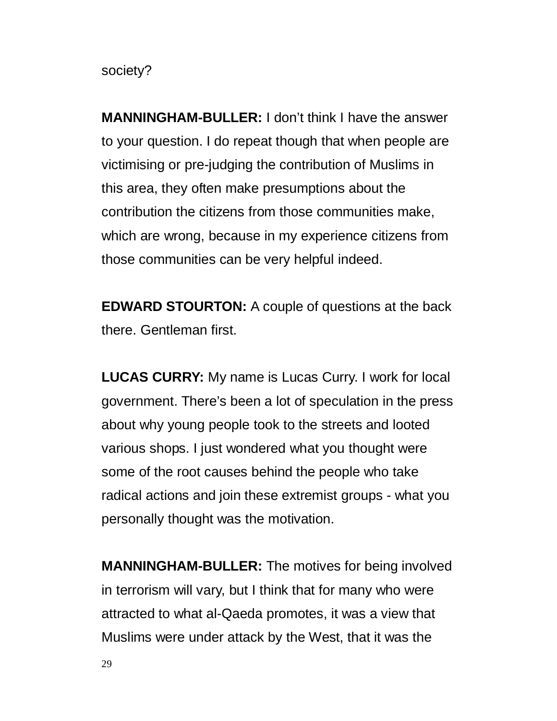society?

**MANNINGHAM-BULLER:** I don't think I have the answer to your question. I do repeat though that when people are victimising or pre-judging the contribution of Muslims in this area, they often make presumptions about the contribution the citizens from those communities make, which are wrong, because in my experience citizens from those communities can be very helpful indeed.

**EDWARD STOURTON:** A couple of questions at the back there. Gentleman first.

**LUCAS CURRY:** My name is Lucas Curry. I work for local government. There's been a lot of speculation in the press about why young people took to the streets and looted various shops. I just wondered what you thought were some of the root causes behind the people who take radical actions and join these extremist groups - what you personally thought was the motivation.

**MANNINGHAM-BULLER:** The motives for being involved in terrorism will vary, but I think that for many who were attracted to what al-Qaeda promotes, it was a view that Muslims were under attack by the West, that it was the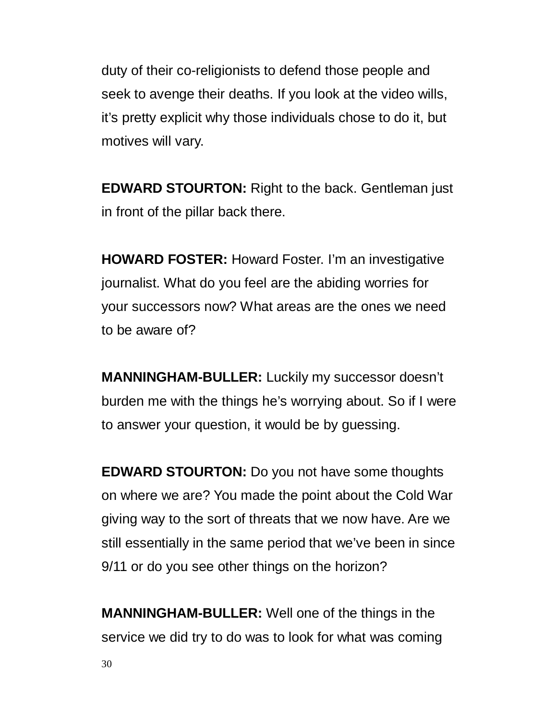duty of their co-religionists to defend those people and seek to avenge their deaths. If you look at the video wills, it's pretty explicit why those individuals chose to do it, but motives will vary.

**EDWARD STOURTON:** Right to the back. Gentleman just in front of the pillar back there.

**HOWARD FOSTER:** Howard Foster. I'm an investigative journalist. What do you feel are the abiding worries for your successors now? What areas are the ones we need to be aware of?

**MANNINGHAM-BULLER:** Luckily my successor doesn't burden me with the things he's worrying about. So if I were to answer your question, it would be by guessing.

**EDWARD STOURTON:** Do you not have some thoughts on where we are? You made the point about the Cold War giving way to the sort of threats that we now have. Are we still essentially in the same period that we've been in since 9/11 or do you see other things on the horizon?

**MANNINGHAM-BULLER:** Well one of the things in the service we did try to do was to look for what was coming